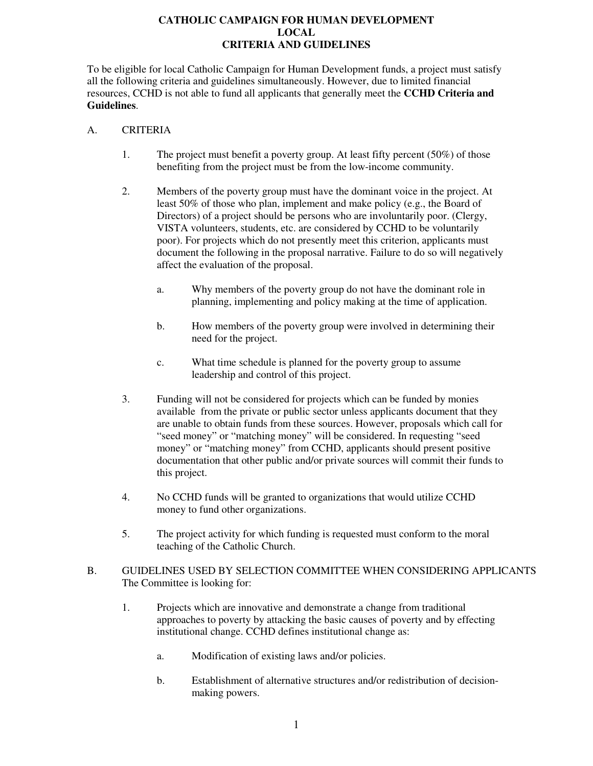# **CATHOLIC CAMPAIGN FOR HUMAN DEVELOPMENT LOCAL CRITERIA AND GUIDELINES**

To be eligible for local Catholic Campaign for Human Development funds, a project must satisfy all the following criteria and guidelines simultaneously. However, due to limited financial resources, CCHD is not able to fund all applicants that generally meet the **CCHD Criteria and Guidelines**.

### A. CRITERIA

- 1. The project must benefit a poverty group. At least fifty percent (50%) of those benefiting from the project must be from the low-income community.
- 2. Members of the poverty group must have the dominant voice in the project. At least 50% of those who plan, implement and make policy (e.g., the Board of Directors) of a project should be persons who are involuntarily poor. (Clergy, VISTA volunteers, students, etc. are considered by CCHD to be voluntarily poor). For projects which do not presently meet this criterion, applicants must document the following in the proposal narrative. Failure to do so will negatively affect the evaluation of the proposal.
	- a. Why members of the poverty group do not have the dominant role in planning, implementing and policy making at the time of application.
	- b. How members of the poverty group were involved in determining their need for the project.
	- c. What time schedule is planned for the poverty group to assume leadership and control of this project.
- 3. Funding will not be considered for projects which can be funded by monies available from the private or public sector unless applicants document that they are unable to obtain funds from these sources. However, proposals which call for "seed money" or "matching money" will be considered. In requesting "seed money" or "matching money" from CCHD, applicants should present positive documentation that other public and/or private sources will commit their funds to this project.
- 4. No CCHD funds will be granted to organizations that would utilize CCHD money to fund other organizations.
- 5. The project activity for which funding is requested must conform to the moral teaching of the Catholic Church.
- B. GUIDELINES USED BY SELECTION COMMITTEE WHEN CONSIDERING APPLICANTS The Committee is looking for:
	- 1. Projects which are innovative and demonstrate a change from traditional approaches to poverty by attacking the basic causes of poverty and by effecting institutional change. CCHD defines institutional change as:
		- a. Modification of existing laws and/or policies.
		- b. Establishment of alternative structures and/or redistribution of decisionmaking powers.